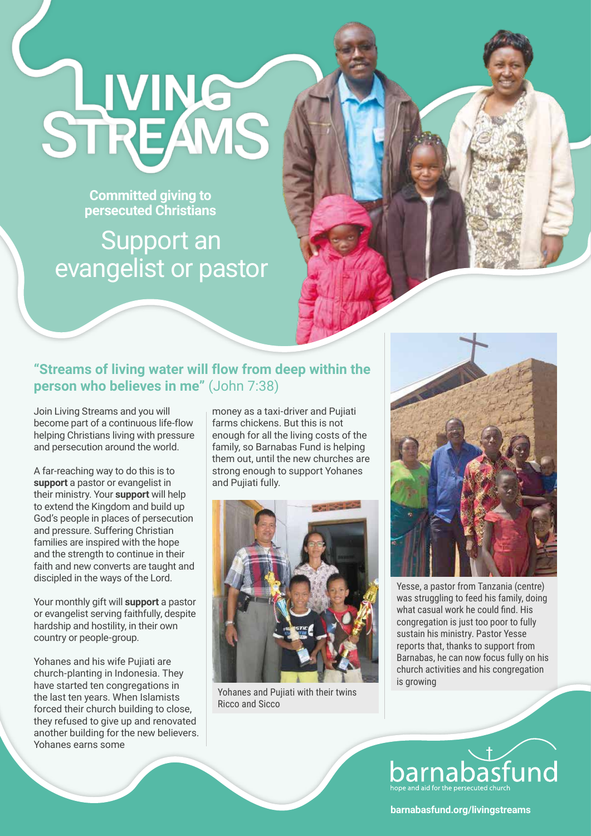

**Committed giving to persecuted Christians** 

## Support an evangelist or pastor

## **"Streams of living water will flow from deep within the person who believes in me"** (John 7:38)

Join Living Streams and you will become part of a continuous life-flow helping Christians living with pressure and persecution around the world.

A far-reaching way to do this is to **support** a pastor or evangelist in their ministry. Your **support** will help to extend the Kingdom and build up God's people in places of persecution and pressure. Suffering Christian families are inspired with the hope and the strength to continue in their faith and new converts are taught and discipled in the ways of the Lord.

Your monthly gift will **support** a pastor or evangelist serving faithfully, despite hardship and hostility, in their own country or people-group.

Yohanes and his wife Pujiati are church-planting in Indonesia. They have started ten congregations in the last ten years. When Islamists forced their church building to close, they refused to give up and renovated another building for the new believers. Yohanes earns some

money as a taxi-driver and Pujiati farms chickens. But this is not enough for all the living costs of the family, so Barnabas Fund is helping them out, until the new churches are strong enough to support Yohanes and Pujiati fully.



Yohanes and Pujiati with their twins Ricco and Sicco



Yesse, a pastor from Tanzania (centre) was struggling to feed his family, doing what casual work he could find. His congregation is just too poor to fully sustain his ministry. Pastor Yesse reports that, thanks to support from Barnabas, he can now focus fully on his church activities and his congregation is growing



## **barnabasfund.org/livingstreams**